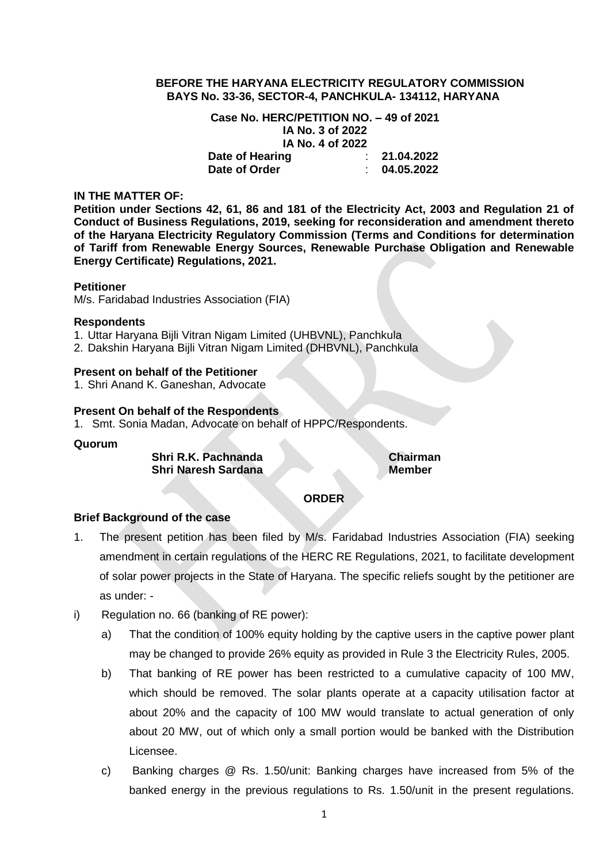## **BEFORE THE HARYANA ELECTRICITY REGULATORY COMMISSION BAYS No. 33-36, SECTOR-4, PANCHKULA- 134112, HARYANA**

**Case No. HERC/PETITION NO. – 49 of 2021 IA No. 3 of 2022 IA No. 4 of 2022**

**Date of Hearing** : **21.04.2022 Date of Order** : **04.05.2022**

## **IN THE MATTER OF:**

**Petition under Sections 42, 61, 86 and 181 of the Electricity Act, 2003 and Regulation 21 of Conduct of Business Regulations, 2019, seeking for reconsideration and amendment thereto of the Haryana Electricity Regulatory Commission (Terms and Conditions for determination of Tariff from Renewable Energy Sources, Renewable Purchase Obligation and Renewable Energy Certificate) Regulations, 2021.**

### **Petitioner**

M/s. Faridabad Industries Association (FIA)

## **Respondents**

1. Uttar Haryana Bijli Vitran Nigam Limited (UHBVNL), Panchkula

2. Dakshin Haryana Bijli Vitran Nigam Limited (DHBVNL), Panchkula

# **Present on behalf of the Petitioner**

1. Shri Anand K. Ganeshan, Advocate

## **Present On behalf of the Respondents**

1. Smt. Sonia Madan, Advocate on behalf of HPPC/Respondents.

### **Quorum**

**Shri R.K. Pachnanda Chairman Shri Naresh Sardana Member** 

### **ORDER**

# **Brief Background of the case**

- 1. The present petition has been filed by M/s. Faridabad Industries Association (FIA) seeking amendment in certain regulations of the HERC RE Regulations, 2021, to facilitate development of solar power projects in the State of Haryana. The specific reliefs sought by the petitioner are as under: -
- i) Regulation no. 66 (banking of RE power):
	- a) That the condition of 100% equity holding by the captive users in the captive power plant may be changed to provide 26% equity as provided in Rule 3 the Electricity Rules, 2005.
	- b) That banking of RE power has been restricted to a cumulative capacity of 100 MW, which should be removed. The solar plants operate at a capacity utilisation factor at about 20% and the capacity of 100 MW would translate to actual generation of only about 20 MW, out of which only a small portion would be banked with the Distribution Licensee.
	- c) Banking charges @ Rs. 1.50/unit: Banking charges have increased from 5% of the banked energy in the previous regulations to Rs. 1.50/unit in the present regulations.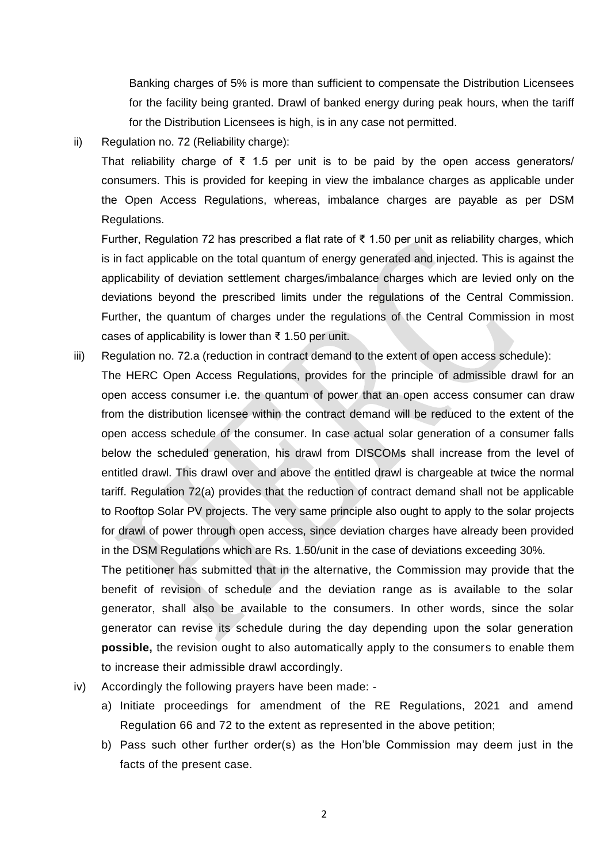Banking charges of 5% is more than sufficient to compensate the Distribution Licensees for the facility being granted. Drawl of banked energy during peak hours, when the tariff for the Distribution Licensees is high, is in any case not permitted.

# ii) Regulation no. 72 (Reliability charge):

That reliability charge of  $\bar{\xi}$  1.5 per unit is to be paid by the open access generators/ consumers. This is provided for keeping in view the imbalance charges as applicable under the Open Access Regulations, whereas, imbalance charges are payable as per DSM Regulations.

Further, Regulation 72 has prescribed a flat rate of ₹ 1.50 per unit as reliability charges, which is in fact applicable on the total quantum of energy generated and injected. This is against the applicability of deviation settlement charges/imbalance charges which are levied only on the deviations beyond the prescribed limits under the regulations of the Central Commission. Further, the quantum of charges under the regulations of the Central Commission in most cases of applicability is lower than ₹ 1.50 per unit.

iii) Regulation no. 72.a (reduction in contract demand to the extent of open access schedule): The HERC Open Access Regulations, provides for the principle of admissible drawl for an open access consumer i.e. the quantum of power that an open access consumer can draw from the distribution licensee within the contract demand will be reduced to the extent of the open access schedule of the consumer. In case actual solar generation of a consumer falls below the scheduled generation, his drawl from DISCOMs shall increase from the level of entitled drawl. This drawl over and above the entitled drawl is chargeable at twice the normal tariff. Regulation 72(a) provides that the reduction of contract demand shall not be applicable to Rooftop Solar PV projects. The very same principle also ought to apply to the solar projects for drawl of power through open access, since deviation charges have already been provided in the DSM Regulations which are Rs. 1.50/unit in the case of deviations exceeding 30%.

The petitioner has submitted that in the alternative, the Commission may provide that the benefit of revision of schedule and the deviation range as is available to the solar generator, shall also be available to the consumers. In other words, since the solar generator can revise its schedule during the day depending upon the solar generation **possible,** the revision ought to also automatically apply to the consumers to enable them to increase their admissible drawl accordingly.

- iv) Accordingly the following prayers have been made:
	- a) Initiate proceedings for amendment of the RE Regulations, 2021 and amend Regulation 66 and 72 to the extent as represented in the above petition;
	- b) Pass such other further order(s) as the Hon'ble Commission may deem just in the facts of the present case.

2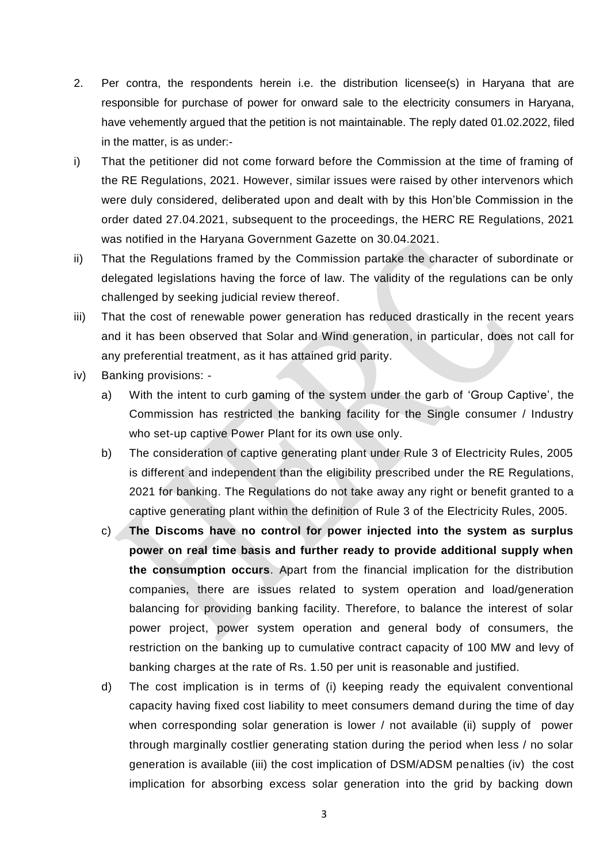- 2. Per contra, the respondents herein i.e. the distribution licensee(s) in Haryana that are responsible for purchase of power for onward sale to the electricity consumers in Haryana, have vehemently argued that the petition is not maintainable. The reply dated 01.02.2022, filed in the matter, is as under:-
- i) That the petitioner did not come forward before the Commission at the time of framing of the RE Regulations, 2021. However, similar issues were raised by other intervenors which were duly considered, deliberated upon and dealt with by this Hon'ble Commission in the order dated 27.04.2021, subsequent to the proceedings, the HERC RE Regulations, 2021 was notified in the Haryana Government Gazette on 30.04.2021.
- ii) That the Regulations framed by the Commission partake the character of subordinate or delegated legislations having the force of law. The validity of the regulations can be only challenged by seeking judicial review thereof.
- iii) That the cost of renewable power generation has reduced drastically in the recent years and it has been observed that Solar and Wind generation, in particular, does not call for any preferential treatment, as it has attained grid parity.
- iv) Banking provisions:
	- a) With the intent to curb gaming of the system under the garb of 'Group Captive', the Commission has restricted the banking facility for the Single consumer / Industry who set-up captive Power Plant for its own use only.
	- b) The consideration of captive generating plant under Rule 3 of Electricity Rules, 2005 is different and independent than the eligibility prescribed under the RE Regulations, 2021 for banking. The Regulations do not take away any right or benefit granted to a captive generating plant within the definition of Rule 3 of the Electricity Rules, 2005.
	- c) **The Discoms have no control for power injected into the system as surplus power on real time basis and further ready to provide additional supply when the consumption occurs**. Apart from the financial implication for the distribution companies, there are issues related to system operation and load/generation balancing for providing banking facility. Therefore, to balance the interest of solar power project, power system operation and general body of consumers, the restriction on the banking up to cumulative contract capacity of 100 MW and levy of banking charges at the rate of Rs. 1.50 per unit is reasonable and justified.
	- d) The cost implication is in terms of (i) keeping ready the equivalent conventional capacity having fixed cost liability to meet consumers demand during the time of day when corresponding solar generation is lower / not available (ii) supply of power through marginally costlier generating station during the period when less / no solar generation is available (iii) the cost implication of DSM/ADSM penalties (iv) the cost implication for absorbing excess solar generation into the grid by backing down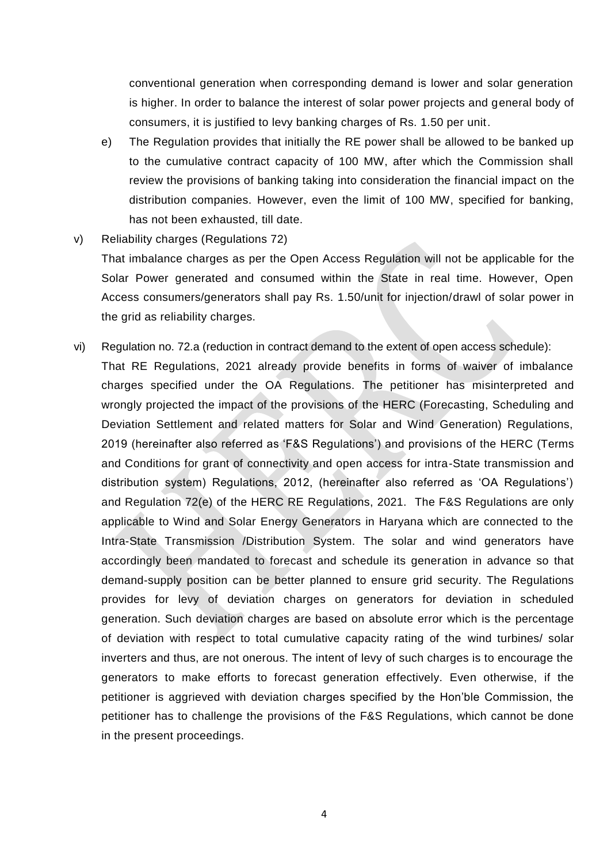conventional generation when corresponding demand is lower and solar generation is higher. In order to balance the interest of solar power projects and general body of consumers, it is justified to levy banking charges of Rs. 1.50 per unit.

- e) The Regulation provides that initially the RE power shall be allowed to be banked up to the cumulative contract capacity of 100 MW, after which the Commission shall review the provisions of banking taking into consideration the financial impact on the distribution companies. However, even the limit of 100 MW, specified for banking, has not been exhausted, till date.
- v) Reliability charges (Regulations 72)

That imbalance charges as per the Open Access Regulation will not be applicable for the Solar Power generated and consumed within the State in real time. However, Open Access consumers/generators shall pay Rs. 1.50/unit for injection/drawl of solar power in the grid as reliability charges.

vi) Regulation no. 72.a (reduction in contract demand to the extent of open access schedule): That RE Regulations, 2021 already provide benefits in forms of waiver of imbalance charges specified under the OA Regulations. The petitioner has misinterpreted and wrongly projected the impact of the provisions of the HERC (Forecasting, Scheduling and Deviation Settlement and related matters for Solar and Wind Generation) Regulations, 2019 (hereinafter also referred as 'F&S Regulations') and provisions of the HERC (Terms and Conditions for grant of connectivity and open access for intra-State transmission and distribution system) Regulations, 2012, (hereinafter also referred as 'OA Regulations') and Regulation 72(e) of the HERC RE Regulations, 2021. The F&S Regulations are only applicable to Wind and Solar Energy Generators in Haryana which are connected to the Intra-State Transmission /Distribution System. The solar and wind generators have accordingly been mandated to forecast and schedule its generation in advance so that demand-supply position can be better planned to ensure grid security. The Regulations provides for levy of deviation charges on generators for deviation in scheduled generation. Such deviation charges are based on absolute error which is the percentage of deviation with respect to total cumulative capacity rating of the wind turbines/ solar inverters and thus, are not onerous. The intent of levy of such charges is to encourage the generators to make efforts to forecast generation effectively. Even otherwise, if the petitioner is aggrieved with deviation charges specified by the Hon'ble Commission, the petitioner has to challenge the provisions of the F&S Regulations, which cannot be done in the present proceedings.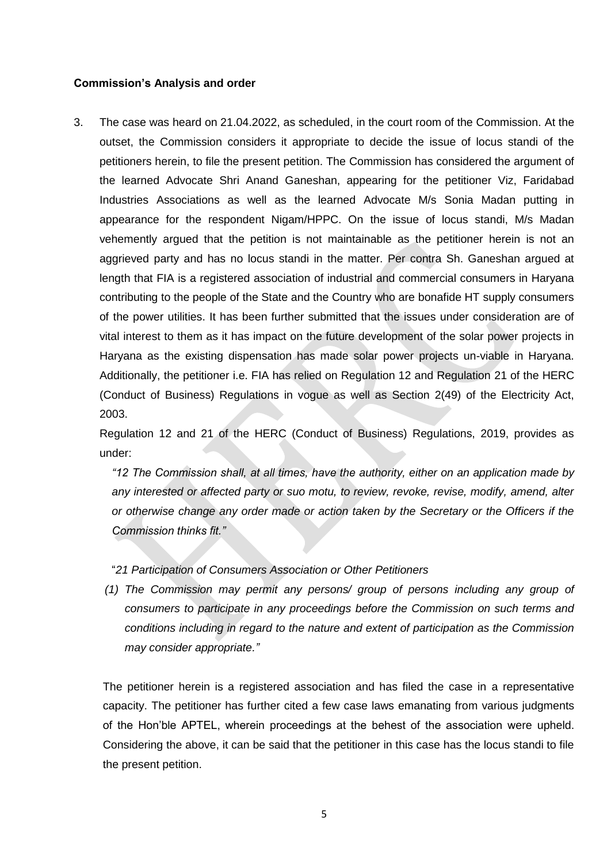## **Commission's Analysis and order**

3. The case was heard on 21.04.2022, as scheduled, in the court room of the Commission. At the outset, the Commission considers it appropriate to decide the issue of locus standi of the petitioners herein, to file the present petition. The Commission has considered the argument of the learned Advocate Shri Anand Ganeshan, appearing for the petitioner Viz, Faridabad Industries Associations as well as the learned Advocate M/s Sonia Madan putting in appearance for the respondent Nigam/HPPC. On the issue of locus standi, M/s Madan vehemently argued that the petition is not maintainable as the petitioner herein is not an aggrieved party and has no locus standi in the matter. Per contra Sh. Ganeshan argued at length that FIA is a registered association of industrial and commercial consumers in Haryana contributing to the people of the State and the Country who are bonafide HT supply consumers of the power utilities. It has been further submitted that the issues under consideration are of vital interest to them as it has impact on the future development of the solar power projects in Haryana as the existing dispensation has made solar power projects un-viable in Haryana. Additionally, the petitioner i.e. FIA has relied on Regulation 12 and Regulation 21 of the HERC (Conduct of Business) Regulations in vogue as well as Section 2(49) of the Electricity Act, 2003.

Regulation 12 and 21 of the HERC (Conduct of Business) Regulations, 2019, provides as under:

*"12 The Commission shall, at all times, have the authority, either on an application made by any interested or affected party or suo motu, to review, revoke, revise, modify, amend, alter or otherwise change any order made or action taken by the Secretary or the Officers if the Commission thinks fit."*

## "*21 Participation of Consumers Association or Other Petitioners*

*(1) The Commission may permit any persons/ group of persons including any group of consumers to participate in any proceedings before the Commission on such terms and conditions including in regard to the nature and extent of participation as the Commission may consider appropriate."* 

The petitioner herein is a registered association and has filed the case in a representative capacity. The petitioner has further cited a few case laws emanating from various judgments of the Hon'ble APTEL, wherein proceedings at the behest of the association were upheld. Considering the above, it can be said that the petitioner in this case has the locus standi to file the present petition.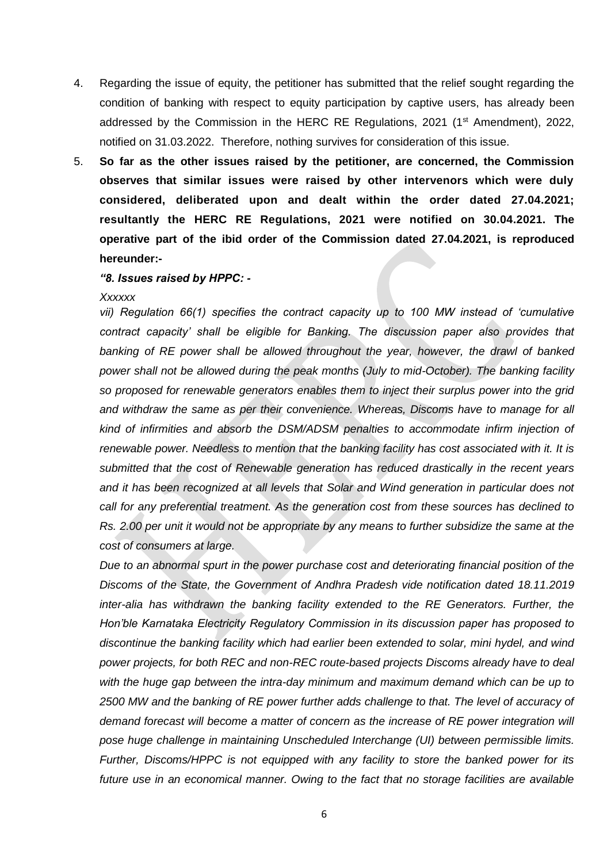- 4. Regarding the issue of equity, the petitioner has submitted that the relief sought regarding the condition of banking with respect to equity participation by captive users, has already been addressed by the Commission in the HERC RE Regulations, 2021 (1<sup>st</sup> Amendment), 2022, notified on 31.03.2022. Therefore, nothing survives for consideration of this issue.
- 5. **So far as the other issues raised by the petitioner, are concerned, the Commission observes that similar issues were raised by other intervenors which were duly considered, deliberated upon and dealt within the order dated 27.04.2021; resultantly the HERC RE Regulations, 2021 were notified on 30.04.2021. The operative part of the ibid order of the Commission dated 27.04.2021, is reproduced hereunder:-**

#### *"8. Issues raised by HPPC: -*

#### *Xxxxxx*

*vii) Regulation 66(1) specifies the contract capacity up to 100 MW instead of 'cumulative contract capacity' shall be eligible for Banking. The discussion paper also provides that*  banking of RE power shall be allowed throughout the year, however, the drawl of banked *power shall not be allowed during the peak months (July to mid-October). The banking facility so proposed for renewable generators enables them to inject their surplus power into the grid*  and withdraw the same as per their convenience. Whereas, Discoms have to manage for all *kind of infirmities and absorb the DSM/ADSM penalties to accommodate infirm injection of renewable power. Needless to mention that the banking facility has cost associated with it. It is submitted that the cost of Renewable generation has reduced drastically in the recent years and it has been recognized at all levels that Solar and Wind generation in particular does not call for any preferential treatment. As the generation cost from these sources has declined to Rs. 2.00 per unit it would not be appropriate by any means to further subsidize the same at the cost of consumers at large.*

*Due to an abnormal spurt in the power purchase cost and deteriorating financial position of the Discoms of the State, the Government of Andhra Pradesh vide notification dated 18.11.2019 inter-alia has withdrawn the banking facility extended to the RE Generators. Further, the Hon'ble Karnataka Electricity Regulatory Commission in its discussion paper has proposed to discontinue the banking facility which had earlier been extended to solar, mini hydel, and wind power projects, for both REC and non-REC route-based projects Discoms already have to deal with the huge gap between the intra-day minimum and maximum demand which can be up to*  2500 MW and the banking of RE power further adds challenge to that. The level of accuracy of *demand forecast will become a matter of concern as the increase of RE power integration will pose huge challenge in maintaining Unscheduled Interchange (UI) between permissible limits. Further, Discoms/HPPC is not equipped with any facility to store the banked power for its future use in an economical manner. Owing to the fact that no storage facilities are available*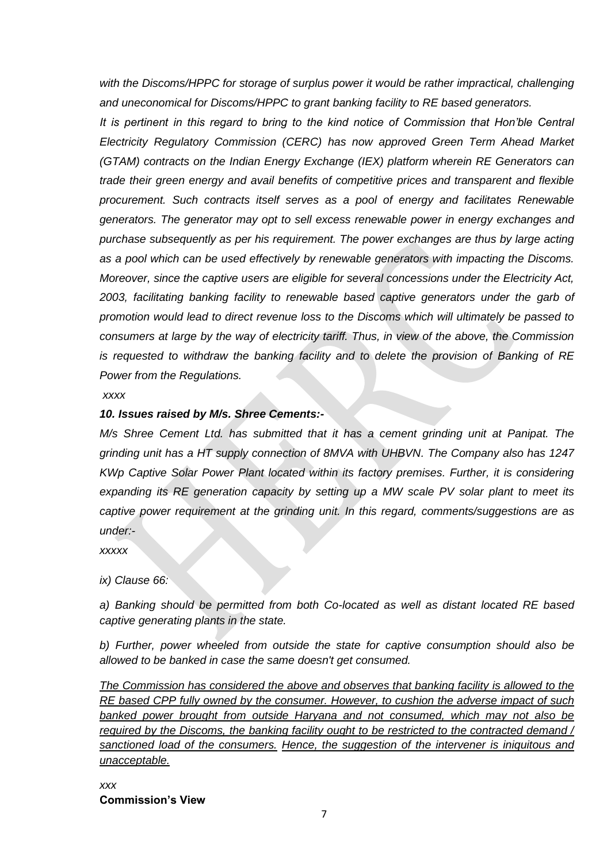with the Discoms/HPPC for storage of surplus power it would be rather impractical, challenging *and uneconomical for Discoms/HPPC to grant banking facility to RE based generators.*

*It is pertinent in this regard to bring to the kind notice of Commission that Hon'ble Central Electricity Regulatory Commission (CERC) has now approved Green Term Ahead Market (GTAM) contracts on the Indian Energy Exchange (IEX) platform wherein RE Generators can trade their green energy and avail benefits of competitive prices and transparent and flexible procurement. Such contracts itself serves as a pool of energy and facilitates Renewable generators. The generator may opt to sell excess renewable power in energy exchanges and purchase subsequently as per his requirement. The power exchanges are thus by large acting as a pool which can be used effectively by renewable generators with impacting the Discoms. Moreover, since the captive users are eligible for several concessions under the Electricity Act, 2003, facilitating banking facility to renewable based captive generators under the garb of promotion would lead to direct revenue loss to the Discoms which will ultimately be passed to consumers at large by the way of electricity tariff. Thus, in view of the above, the Commission is requested to withdraw the banking facility and to delete the provision of Banking of RE Power from the Regulations.*

*xxxx*

# *10. Issues raised by M/s. Shree Cements:-*

*M/s Shree Cement Ltd. has submitted that it has a cement grinding unit at Panipat. The grinding unit has a HT supply connection of 8MVA with UHBVN. The Company also has 1247 KWp Captive Solar Power Plant located within its factory premises. Further, it is considering expanding its RE generation capacity by setting up a MW scale PV solar plant to meet its captive power requirement at the grinding unit. In this regard, comments/suggestions are as under:-*

*xxxxx*

*ix) Clause 66:*

*a) Banking should be permitted from both Co-located as well as distant located RE based captive generating plants in the state.*

*b) Further, power wheeled from outside the state for captive consumption should also be allowed to be banked in case the same doesn't get consumed.*

*The Commission has considered the above and observes that banking facility is allowed to the RE based CPP fully owned by the consumer. However, to cushion the adverse impact of such banked power brought from outside Haryana and not consumed, which may not also be required by the Discoms, the banking facility ought to be restricted to the contracted demand / sanctioned load of the consumers. Hence, the suggestion of the intervener is iniquitous and unacceptable.*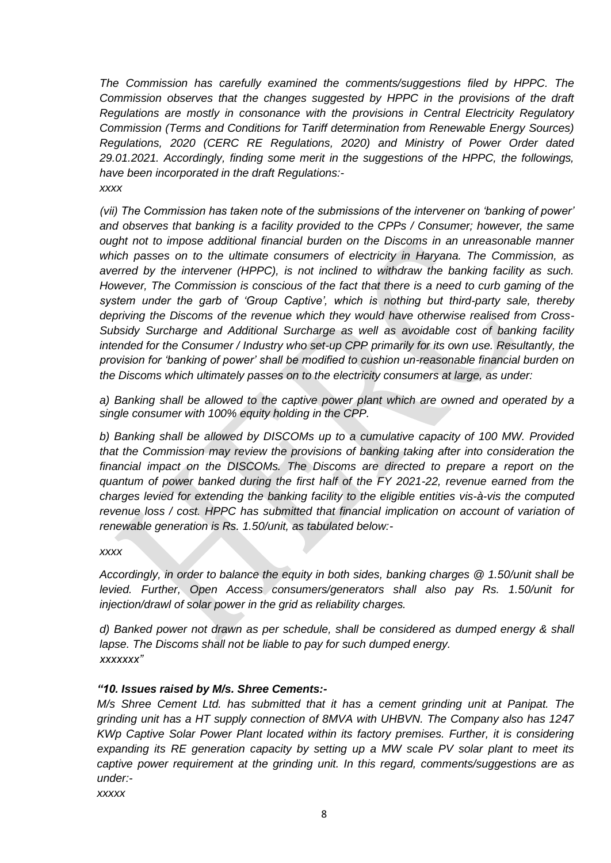*The Commission has carefully examined the comments/suggestions filed by HPPC. The Commission observes that the changes suggested by HPPC in the provisions of the draft Regulations are mostly in consonance with the provisions in Central Electricity Regulatory Commission (Terms and Conditions for Tariff determination from Renewable Energy Sources) Regulations, 2020 (CERC RE Regulations, 2020) and Ministry of Power Order dated 29.01.2021. Accordingly, finding some merit in the suggestions of the HPPC, the followings, have been incorporated in the draft Regulations: xxxx*

*(vii) The Commission has taken note of the submissions of the intervener on 'banking of power' and observes that banking is a facility provided to the CPPs / Consumer; however, the same ought not to impose additional financial burden on the Discoms in an unreasonable manner which passes on to the ultimate consumers of electricity in Haryana. The Commission, as averred by the intervener (HPPC), is not inclined to withdraw the banking facility as such. However, The Commission is conscious of the fact that there is a need to curb gaming of the system under the garb of 'Group Captive', which is nothing but third-party sale, thereby depriving the Discoms of the revenue which they would have otherwise realised from Cross-Subsidy Surcharge and Additional Surcharge as well as avoidable cost of banking facility intended for the Consumer / Industry who set-up CPP primarily for its own use. Resultantly, the provision for 'banking of power' shall be modified to cushion un-reasonable financial burden on the Discoms which ultimately passes on to the electricity consumers at large, as under:*

*a) Banking shall be allowed to the captive power plant which are owned and operated by a single consumer with 100% equity holding in the CPP.*

*b) Banking shall be allowed by DISCOMs up to a cumulative capacity of 100 MW. Provided that the Commission may review the provisions of banking taking after into consideration the financial impact on the DISCOMs. The Discoms are directed to prepare a report on the quantum of power banked during the first half of the FY 2021-22, revenue earned from the charges levied for extending the banking facility to the eligible entities vis-à-vis the computed revenue loss / cost. HPPC has submitted that financial implication on account of variation of renewable generation is Rs. 1.50/unit, as tabulated below:-*

### *xxxx*

*Accordingly, in order to balance the equity in both sides, banking charges @ 1.50/unit shall be levied. Further, Open Access consumers/generators shall also pay Rs. 1.50/unit for injection/drawl of solar power in the grid as reliability charges.*

*d) Banked power not drawn as per schedule, shall be considered as dumped energy & shall lapse. The Discoms shall not be liable to pay for such dumped energy. xxxxxxx"*

## *"10. Issues raised by M/s. Shree Cements:-*

*M*/s Shree Cement Ltd. has submitted that it has a cement grinding unit at Panipat. The *grinding unit has a HT supply connection of 8MVA with UHBVN. The Company also has 1247 KWp Captive Solar Power Plant located within its factory premises. Further, it is considering expanding its RE generation capacity by setting up a MW scale PV solar plant to meet its captive power requirement at the grinding unit. In this regard, comments/suggestions are as under:-*

*xxxxx*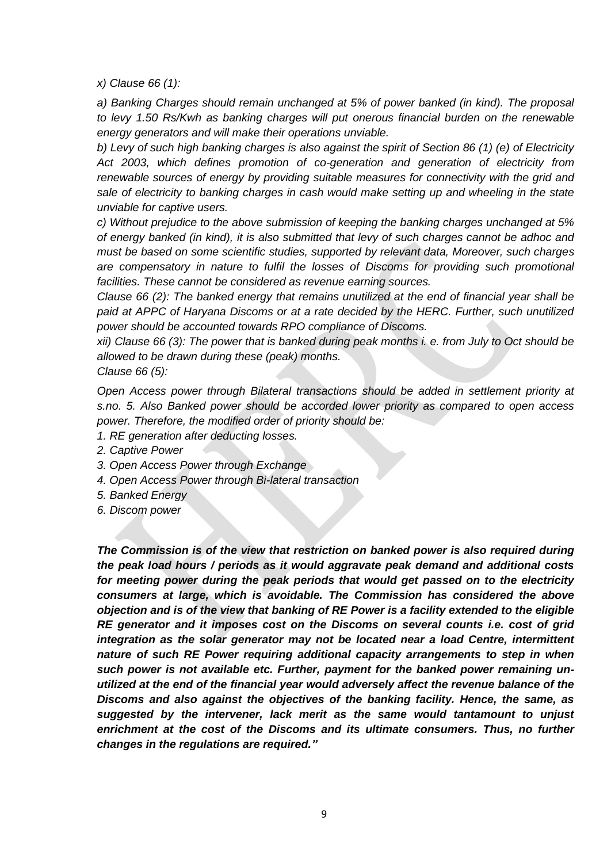*x) Clause 66 (1):*

*a) Banking Charges should remain unchanged at 5% of power banked (in kind). The proposal to levy 1.50 Rs/Kwh as banking charges will put onerous financial burden on the renewable energy generators and will make their operations unviable.*

*b) Levy of such high banking charges is also against the spirit of Section 86 (1) (e) of Electricity Act 2003, which defines promotion of co-generation and generation of electricity from renewable sources of energy by providing suitable measures for connectivity with the grid and sale of electricity to banking charges in cash would make setting up and wheeling in the state unviable for captive users.*

*c) Without prejudice to the above submission of keeping the banking charges unchanged at 5% of energy banked (in kind), it is also submitted that levy of such charges cannot be adhoc and must be based on some scientific studies, supported by relevant data, Moreover, such charges are compensatory in nature to fulfil the losses of Discoms for providing such promotional facilities. These cannot be considered as revenue earning sources.* 

*Clause 66 (2): The banked energy that remains unutilized at the end of financial year shall be paid at APPC of Haryana Discoms or at a rate decided by the HERC. Further, such unutilized power should be accounted towards RPO compliance of Discoms.*

*xii) Clause 66 (3): The power that is banked during peak months i. e. from July to Oct should be allowed to be drawn during these (peak) months.*

*Clause 66 (5):*

*Open Access power through Bilateral transactions should be added in settlement priority at s.no. 5. Also Banked power should be accorded lower priority as compared to open access power. Therefore, the modified order of priority should be:*

- *1. RE generation after deducting losses.*
- *2. Captive Power*
- *3. Open Access Power through Exchange*
- *4. Open Access Power through Bi-lateral transaction*
- *5. Banked Energy*
- *6. Discom power*

*The Commission is of the view that restriction on banked power is also required during the peak load hours / periods as it would aggravate peak demand and additional costs for meeting power during the peak periods that would get passed on to the electricity consumers at large, which is avoidable. The Commission has considered the above objection and is of the view that banking of RE Power is a facility extended to the eligible RE generator and it imposes cost on the Discoms on several counts i.e. cost of grid integration as the solar generator may not be located near a load Centre, intermittent nature of such RE Power requiring additional capacity arrangements to step in when such power is not available etc. Further, payment for the banked power remaining unutilized at the end of the financial year would adversely affect the revenue balance of the Discoms and also against the objectives of the banking facility. Hence, the same, as suggested by the intervener, lack merit as the same would tantamount to unjust enrichment at the cost of the Discoms and its ultimate consumers. Thus, no further changes in the regulations are required."*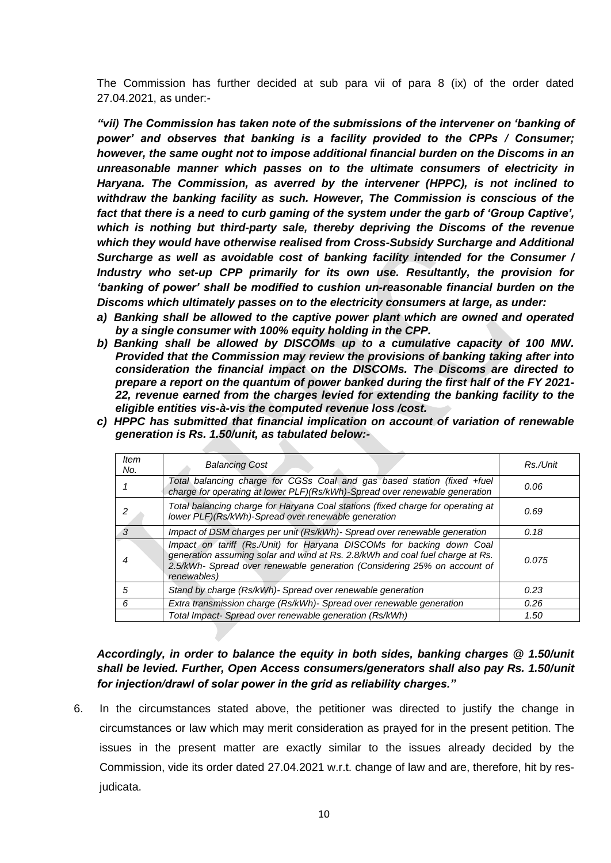The Commission has further decided at sub para vii of para 8 (ix) of the order dated 27.04.2021, as under:-

*"vii) The Commission has taken note of the submissions of the intervener on 'banking of power' and observes that banking is a facility provided to the CPPs / Consumer; however, the same ought not to impose additional financial burden on the Discoms in an unreasonable manner which passes on to the ultimate consumers of electricity in Haryana. The Commission, as averred by the intervener (HPPC), is not inclined to withdraw the banking facility as such. However, The Commission is conscious of the*  fact that there is a need to curb gaming of the system under the garb of 'Group Captive', *which is nothing but third-party sale, thereby depriving the Discoms of the revenue which they would have otherwise realised from Cross-Subsidy Surcharge and Additional Surcharge as well as avoidable cost of banking facility intended for the Consumer / Industry who set-up CPP primarily for its own use. Resultantly, the provision for 'banking of power' shall be modified to cushion un-reasonable financial burden on the Discoms which ultimately passes on to the electricity consumers at large, as under:*

- *a) Banking shall be allowed to the captive power plant which are owned and operated by a single consumer with 100% equity holding in the CPP.*
- *b) Banking shall be allowed by DISCOMs up to a cumulative capacity of 100 MW. Provided that the Commission may review the provisions of banking taking after into consideration the financial impact on the DISCOMs. The Discoms are directed to prepare a report on the quantum of power banked during the first half of the FY 2021- 22, revenue earned from the charges levied for extending the banking facility to the eligible entities vis-à-vis the computed revenue loss /cost.*
- *c) HPPC has submitted that financial implication on account of variation of renewable generation is Rs. 1.50/unit, as tabulated below:-*

| <b>Item</b><br>No. | <b>Balancing Cost</b>                                                                                                                                                                                                                             | Rs./Unit |
|--------------------|---------------------------------------------------------------------------------------------------------------------------------------------------------------------------------------------------------------------------------------------------|----------|
|                    | Total balancing charge for CGSs Coal and gas based station (fixed +fuel<br>charge for operating at lower PLF)(Rs/kWh)-Spread over renewable generation                                                                                            | 0.06     |
|                    | Total balancing charge for Haryana Coal stations (fixed charge for operating at<br>lower PLF)(Rs/kWh)-Spread over renewable generation                                                                                                            | 0.69     |
|                    | Impact of DSM charges per unit (Rs/kWh)- Spread over renewable generation                                                                                                                                                                         | 0.18     |
|                    | Impact on tariff (Rs./Unit) for Haryana DISCOMs for backing down Coal<br>generation assuming solar and wind at Rs. 2.8/kWh and coal fuel charge at Rs.<br>2.5/kWh- Spread over renewable generation (Considering 25% on account of<br>renewables) | 0.075    |
| 5                  | Stand by charge (Rs/kWh)- Spread over renewable generation                                                                                                                                                                                        | 0.23     |
| 6                  | Extra transmission charge (Rs/kWh)- Spread over renewable generation                                                                                                                                                                              | 0.26     |
|                    | Total Impact- Spread over renewable generation (Rs/kWh)                                                                                                                                                                                           | 1.50     |

*Accordingly, in order to balance the equity in both sides, banking charges @ 1.50/unit shall be levied. Further, Open Access consumers/generators shall also pay Rs. 1.50/unit for injection/drawl of solar power in the grid as reliability charges."*

6. In the circumstances stated above, the petitioner was directed to justify the change in circumstances or law which may merit consideration as prayed for in the present petition. The issues in the present matter are exactly similar to the issues already decided by the Commission, vide its order dated 27.04.2021 w.r.t. change of law and are, therefore, hit by resjudicata.